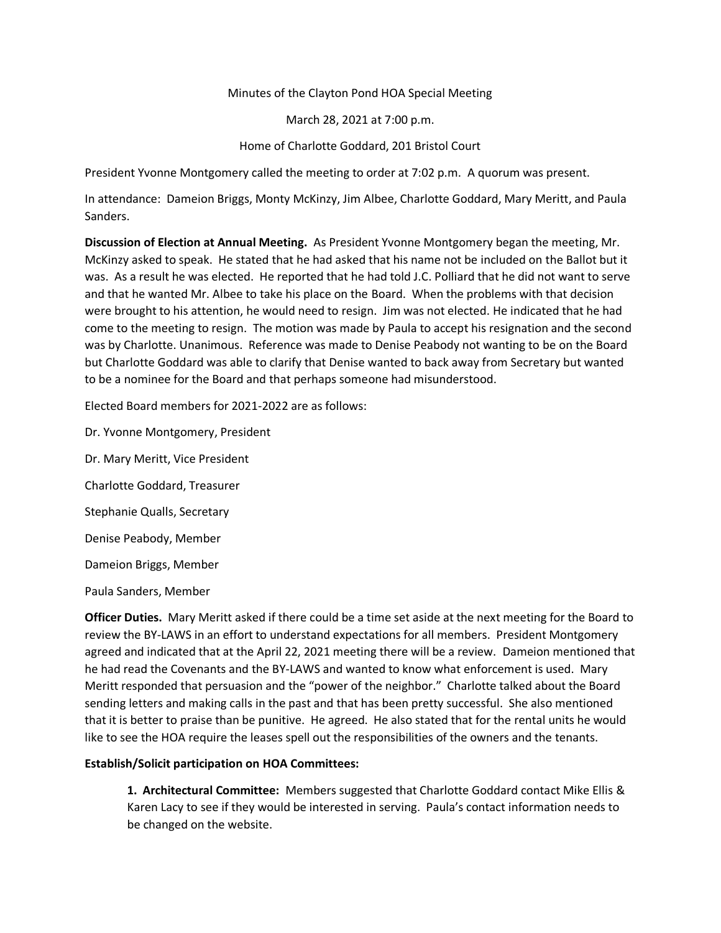## Minutes of the Clayton Pond HOA Special Meeting

March 28, 2021 at 7:00 p.m.

## Home of Charlotte Goddard, 201 Bristol Court

President Yvonne Montgomery called the meeting to order at 7:02 p.m. A quorum was present.

In attendance: Dameion Briggs, Monty McKinzy, Jim Albee, Charlotte Goddard, Mary Meritt, and Paula Sanders.

**Discussion of Election at Annual Meeting.** As President Yvonne Montgomery began the meeting, Mr. McKinzy asked to speak. He stated that he had asked that his name not be included on the Ballot but it was. As a result he was elected. He reported that he had told J.C. Polliard that he did not want to serve and that he wanted Mr. Albee to take his place on the Board. When the problems with that decision were brought to his attention, he would need to resign. Jim was not elected. He indicated that he had come to the meeting to resign. The motion was made by Paula to accept his resignation and the second was by Charlotte. Unanimous. Reference was made to Denise Peabody not wanting to be on the Board but Charlotte Goddard was able to clarify that Denise wanted to back away from Secretary but wanted to be a nominee for the Board and that perhaps someone had misunderstood.

Elected Board members for 2021-2022 are as follows:

Dr. Yvonne Montgomery, President Dr. Mary Meritt, Vice President Charlotte Goddard, Treasurer Stephanie Qualls, Secretary Denise Peabody, Member

Dameion Briggs, Member

Paula Sanders, Member

**Officer Duties.** Mary Meritt asked if there could be a time set aside at the next meeting for the Board to review the BY-LAWS in an effort to understand expectations for all members. President Montgomery agreed and indicated that at the April 22, 2021 meeting there will be a review. Dameion mentioned that he had read the Covenants and the BY-LAWS and wanted to know what enforcement is used. Mary Meritt responded that persuasion and the "power of the neighbor." Charlotte talked about the Board sending letters and making calls in the past and that has been pretty successful. She also mentioned that it is better to praise than be punitive. He agreed. He also stated that for the rental units he would like to see the HOA require the leases spell out the responsibilities of the owners and the tenants.

## **Establish/Solicit participation on HOA Committees:**

**1. Architectural Committee:** Members suggested that Charlotte Goddard contact Mike Ellis & Karen Lacy to see if they would be interested in serving. Paula's contact information needs to be changed on the website.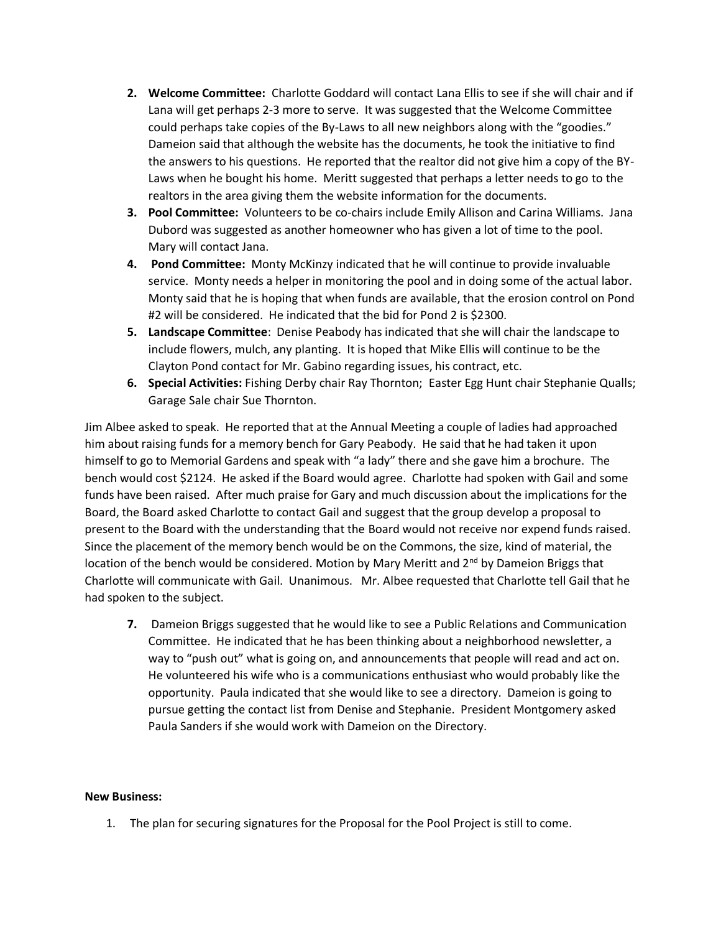- **2. Welcome Committee:** Charlotte Goddard will contact Lana Ellis to see if she will chair and if Lana will get perhaps 2-3 more to serve. It was suggested that the Welcome Committee could perhaps take copies of the By-Laws to all new neighbors along with the "goodies." Dameion said that although the website has the documents, he took the initiative to find the answers to his questions. He reported that the realtor did not give him a copy of the BY-Laws when he bought his home. Meritt suggested that perhaps a letter needs to go to the realtors in the area giving them the website information for the documents.
- **3. Pool Committee:** Volunteers to be co-chairs include Emily Allison and Carina Williams. Jana Dubord was suggested as another homeowner who has given a lot of time to the pool. Mary will contact Jana.
- **4. Pond Committee:** Monty McKinzy indicated that he will continue to provide invaluable service. Monty needs a helper in monitoring the pool and in doing some of the actual labor. Monty said that he is hoping that when funds are available, that the erosion control on Pond #2 will be considered. He indicated that the bid for Pond 2 is \$2300.
- **5. Landscape Committee**: Denise Peabody has indicated that she will chair the landscape to include flowers, mulch, any planting. It is hoped that Mike Ellis will continue to be the Clayton Pond contact for Mr. Gabino regarding issues, his contract, etc.
- **6. Special Activities:** Fishing Derby chair Ray Thornton; Easter Egg Hunt chair Stephanie Qualls; Garage Sale chair Sue Thornton.

Jim Albee asked to speak. He reported that at the Annual Meeting a couple of ladies had approached him about raising funds for a memory bench for Gary Peabody. He said that he had taken it upon himself to go to Memorial Gardens and speak with "a lady" there and she gave him a brochure. The bench would cost \$2124. He asked if the Board would agree. Charlotte had spoken with Gail and some funds have been raised. After much praise for Gary and much discussion about the implications for the Board, the Board asked Charlotte to contact Gail and suggest that the group develop a proposal to present to the Board with the understanding that the Board would not receive nor expend funds raised. Since the placement of the memory bench would be on the Commons, the size, kind of material, the location of the bench would be considered. Motion by Mary Meritt and 2<sup>nd</sup> by Dameion Briggs that Charlotte will communicate with Gail. Unanimous. Mr. Albee requested that Charlotte tell Gail that he had spoken to the subject.

**7.** Dameion Briggs suggested that he would like to see a Public Relations and Communication Committee. He indicated that he has been thinking about a neighborhood newsletter, a way to "push out" what is going on, and announcements that people will read and act on. He volunteered his wife who is a communications enthusiast who would probably like the opportunity. Paula indicated that she would like to see a directory. Dameion is going to pursue getting the contact list from Denise and Stephanie. President Montgomery asked Paula Sanders if she would work with Dameion on the Directory.

## **New Business:**

1. The plan for securing signatures for the Proposal for the Pool Project is still to come.